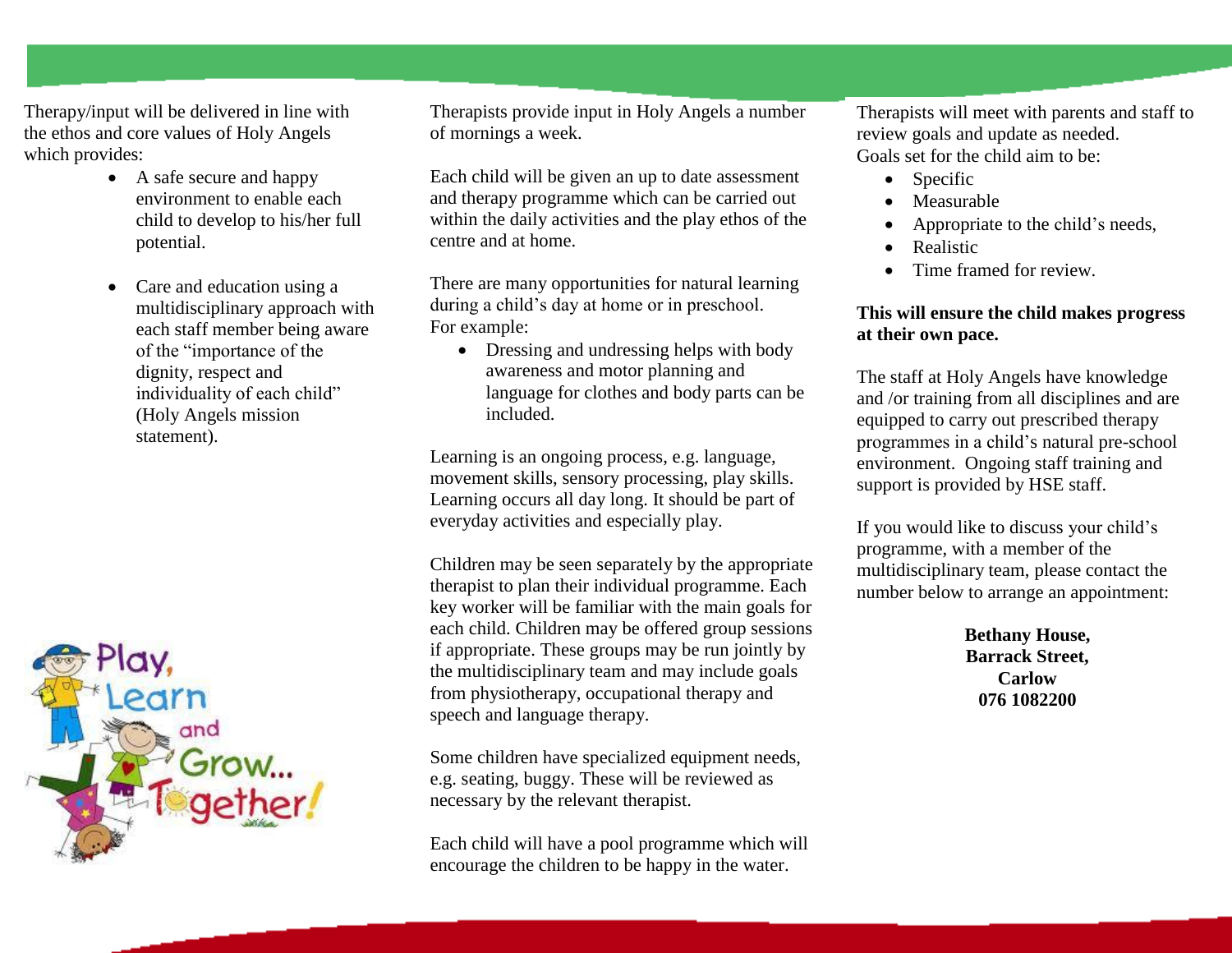Therapy/input will be delivered in line with the ethos and core values of Holy Angels which provides:

- A safe secure and happy environment to enable each child to develop to his/her full potential.
- Care and education using a multidisciplinary approach with each staff member being aware of the "importance of the dignity, respect and individuality of each child" (Holy Angels mission statement).



Therapists provide input in Holy Angels a number of mornings a week.

Each child will be given an up to date assessment and therapy programme which can be carried out within the daily activities and the play ethos of the centre and at home.

There are many opportunities for natural learning during a child's day at home or in preschool. For example:

• Dressing and undressing helps with body awareness and motor planning and language for clothes and body parts can be included.

Learning is an ongoing process, e.g. language, movement skills, sensory processing, play skills. Learning occurs all day long. It should be part of everyday activities and especially play.

Children may be seen separately by the appropriate therapist to plan their individual programme. Each key worker will be familiar with the main goals for each child. Children may be offered group sessions if appropriate. These groups may be run jointly by the multidisciplinary team and may include goals from physiotherapy, occupational therapy and speech and language therapy.

Some children have specialized equipment needs, e.g. seating, buggy. These will be reviewed as necessary by the relevant therapist.

Each child will have a pool programme which will encourage the children to be happy in the water.

Therapists will meet with parents and staff to review goals and update as needed. Goals set for the child aim to be:

- Specific
- Measurable
- Appropriate to the child's needs,
- Realistic
- Time framed for review.

## **This will ensure the child makes progress at their own pace.**

The staff at Holy Angels have knowledge and /or training from all disciplines and are equipped to carry out prescribed therapy programmes in a child's natural pre-school environment. Ongoing staff training and support is provided by HSE staff.

If you would like to discuss your child's programme, with a member of the multidisciplinary team, please contact the number below to arrange an appointment:

> **Bethany House, Barrack Street, Carlow 076 1082200**